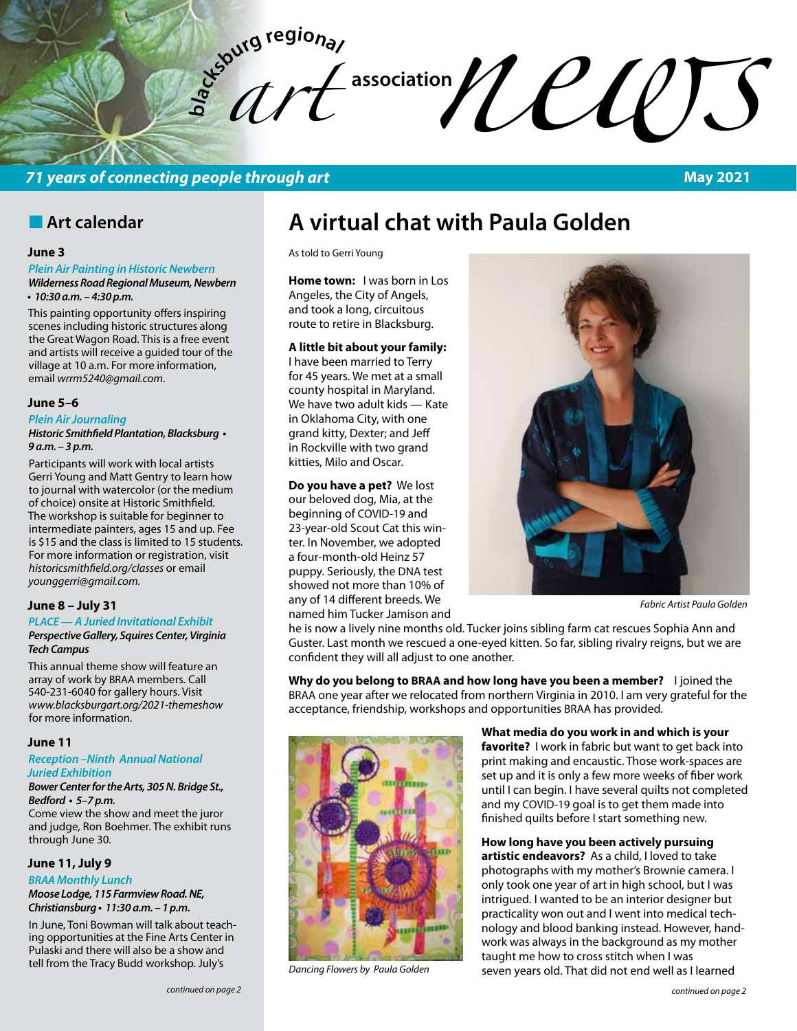$\int_a^b dT$ 

# **b**<br>**association**

# **71 years of connecting people through art**

# **n** Art calendar

#### **June 3**

#### *Plein Air Painting in Historic Newbern Wilderness Road Regional Museum, Newbern*  **• 10:30 a.m. – 4:30 p.m.**

This painting opportunity offers inspiring scenes including historic structures along the Great Wagon Road. This is a free event and artists will receive a guided tour of the village at 10 a.m. For more information, email *wrrm5240@gmail.com*.

#### **June 5–6**

#### *Plein Air Journaling*

#### **Historic Smithfield Plantation, Blacksburg • 9 a.m. – 3 p.m.**

Participants will work with local artists Gerri Young and Matt Gentry to learn how to journal with watercolor (or the medium of choice) onsite at Historic Smithfield. The workshop is suitable for beginner to intermediate painters, ages 15 and up. Fee is \$15 and the class is limited to 15 students. For more information or registration, visit *historicsmithfield.org/classes* or email *younggerri@gmail.com.*

#### **June 8 – July 31**

#### *PLACE — A Juried Invitational Exhibit* **Perspective Gallery, Squires Center, Virginia Tech Campus**

This annual theme show will feature an array of work by BRAA members. Call 540-231-6040 for gallery hours. Visit *www.blacksburgart.org/2021-themeshow* for more information.

#### **June 11**

#### **Reception –Ninth Annual National**  *Juried Exhibition*

**Bower Center for the Arts, 305 N. Bridge St., Bedford • 5–7 p.m.** Come view the show and meet the juror

and judge, Ron Boehmer. The exhibit runs through June 30.

#### **June 11, July 9**

*BRAA* **Monthly Lunch Moose Lodge, 115 Farmview Road. NE, Christiansburg • 11:30 a.m. – 1 p.m.** 

In June, Toni Bowman will talk about teaching opportunities at the Fine Arts Center in Pulaski and there will also be a show and tell from the Tracy Budd workshop. July's

#### *continued on page 2*

# **A virtual chat with Paula Golden**

As told to Gerri Young

**Home town:** I was born in Los Angeles, the City of Angels, and took a long, circuitous route to retire in Blacksburg.

#### **A little bit about your family:**

I have been married to Terry for 45 years. We met at a small county hospital in Maryland. We have two adult kids — Kate in Oklahoma City, with one grand kitty, Dexter; and Jeff in Rockville with two grand kitties, Milo and Oscar.

#### **Do you have a pet?** We lost

our beloved dog, Mia, at the beginning of COVID-19 and 23-year-old Scout Cat this winter. In November, we adopted a four-month-old Heinz 57 puppy. Seriously, the DNA test showed not more than 10% of any of 14 different breeds. We named him Tucker Jamison and



*Fabric Artist Paula Golden*

he is now a lively nine months old. Tucker joins sibling farm cat rescues Sophia Ann and Guster. Last month we rescued a one-eyed kitten. So far, sibling rivalry reigns, but we are confident they will all adjust to one another.

**Why do you belong to BRAA and how long have you been a member?** I joined the BRAA one year after we relocated from northern Virginia in 2010. I am very grateful for the acceptance, friendship, workshops and opportunities BRAA has provided.



*Dancing Flowers by Paula Golden*

**What media do you work in and which is your favorite?** I work in fabric but want to get back into print making and encaustic. Those work-spaces are set up and it is only a few more weeks of fiber work until I can begin. I have several quilts not completed and my COVID-19 goal is to get them made into finished quilts before I start something new.

**How long have you been actively pursuing** 

**artistic endeavors?** As a child, I loved to take photographs with my mother's Brownie camera. I only took one year of art in high school, but I was intrigued. I wanted to be an interior designer but practicality won out and I went into medical technology and blood banking instead. However, handwork was always in the background as my mother taught me how to cross stitch when I was seven years old. That did not end well as I learned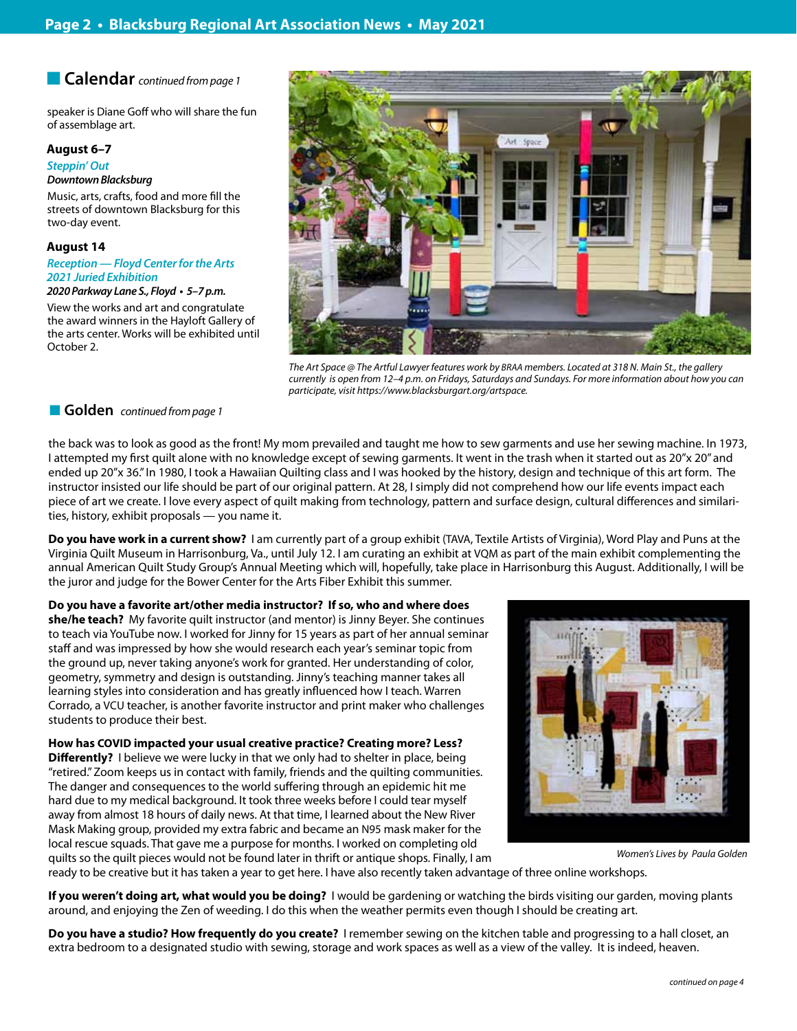#### **n Calendar** *continued from page 1*

speaker is Diane Goff who will share the fun of assemblage art.

#### **August 6–7**

#### **Steppin' Out**

*Downtown Blacksburg*

Music, arts, crafts, food and more fill the streets of downtown Blacksburg for this two-day event.

#### **August 14**

**Reception — Floyd Center for the Arts 2021 Juried Exhibition**

**2020 Parkway Lane S., Floyd • 5–7 p.m.** 

View the works and art and congratulate the award winners in the Hayloft Gallery of the arts center. Works will be exhibited until October 2.



*The Art Space @ The Artful Lawyer features work by BRAA members. Located at 318 N. Main St., the gallery currently is open from 12–4 p.m. on Fridays, Saturdays and Sundays. For more information about how you can participate, visit https://www.blacksburgart.org/artspace.*

#### ■ Golden *continued from page 1*

the back was to look as good as the front! My mom prevailed and taught me how to sew garments and use her sewing machine. In 1973, I attempted my first quilt alone with no knowledge except of sewing garments. It went in the trash when it started out as 20"x 20" and ended up 20"x 36." In 1980, I took a Hawaiian Quilting class and I was hooked by the history, design and technique of this art form. The instructor insisted our life should be part of our original pattern. At 28, I simply did not comprehend how our life events impact each piece of art we create. I love every aspect of quilt making from technology, pattern and surface design, cultural differences and similarities, history, exhibit proposals — you name it.

**Do you have work in a current show?** I am currently part of a group exhibit (TAVA, Textile Artists of Virginia), Word Play and Puns at the Virginia Quilt Museum in Harrisonburg, Va., until July 12. I am curating an exhibit at VQM as part of the main exhibit complementing the annual American Quilt Study Group's Annual Meeting which will, hopefully, take place in Harrisonburg this August. Additionally, I will be the juror and judge for the Bower Center for the Arts Fiber Exhibit this summer.

**Do you have a favorite art/other media instructor? If so, who and where does she/he teach?** My favorite quilt instructor (and mentor) is Jinny Beyer. She continues to teach via YouTube now. I worked for Jinny for 15 years as part of her annual seminar staff and was impressed by how she would research each year's seminar topic from the ground up, never taking anyone's work for granted. Her understanding of color, geometry, symmetry and design is outstanding. Jinny's teaching manner takes all learning styles into consideration and has greatly influenced how I teach. Warren Corrado, a VCU teacher, is another favorite instructor and print maker who challenges students to produce their best.

**How has COVID impacted your usual creative practice? Creating more? Less? Differently?** I believe we were lucky in that we only had to shelter in place, being "retired." Zoom keeps us in contact with family, friends and the quilting communities. The danger and consequences to the world suffering through an epidemic hit me hard due to my medical background. It took three weeks before I could tear myself away from almost 18 hours of daily news. At that time, I learned about the New River Mask Making group, provided my extra fabric and became an N95 mask maker for the local rescue squads. That gave me a purpose for months. I worked on completing old quilts so the quilt pieces would not be found later in thrift or antique shops. Finally, I am



*Women's Lives by Paula Golden*

ready to be creative but it has taken a year to get here. I have also recently taken advantage of three online workshops.

**If you weren't doing art, what would you be doing?** I would be gardening or watching the birds visiting our garden, moving plants around, and enjoying the Zen of weeding. I do this when the weather permits even though I should be creating art.

**Do you have a studio? How frequently do you create?** I remember sewing on the kitchen table and progressing to a hall closet, an extra bedroom to a designated studio with sewing, storage and work spaces as well as a view of the valley. It is indeed, heaven.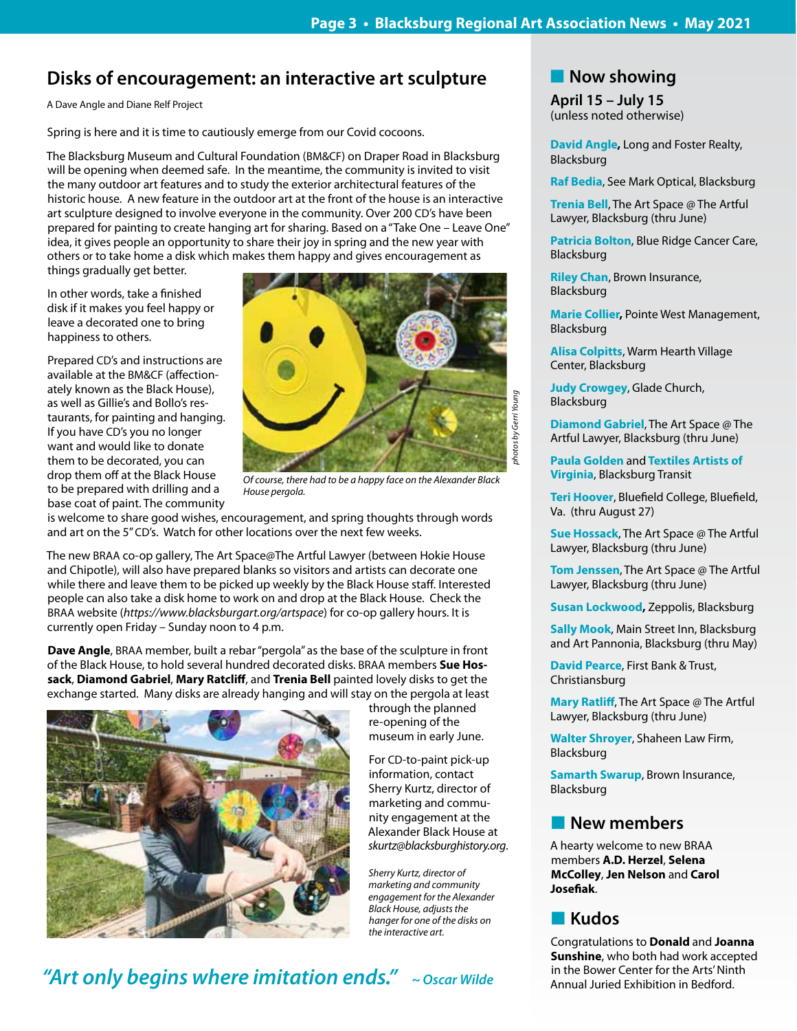# **Disks of encouragement: an interactive art sculpture**

A Dave Angle and Diane Relf Project

Spring is here and it is time to cautiously emerge from our Covid cocoons.

The Blacksburg Museum and Cultural Foundation (BM&CF) on Draper Road in Blacksburg will be opening when deemed safe. In the meantime, the community is invited to visit the many outdoor art features and to study the exterior architectural features of the historic house. A new feature in the outdoor art at the front of the house is an interactive art sculpture designed to involve everyone in the community. Over 200 CD's have been prepared for painting to create hanging art for sharing. Based on a "Take One – Leave One" idea, it gives people an opportunity to share their joy in spring and the new year with others or to take home a disk which makes them happy and gives encouragement as things gradually get better.

In other words, take a finished disk if it makes you feel happy or leave a decorated one to bring happiness to others.

Prepared CD's and instructions are available at the BM&CF (affectionately known as the Black House), as well as Gillie's and Bollo's restaurants, for painting and hanging. If you have CD's you no longer want and would like to donate them to be decorated, you can drop them off at the Black House to be prepared with drilling and a base coat of paint. The community



*Of course, there had to be a happy face on the Alexander Black House pergola.*

is welcome to share good wishes, encouragement, and spring thoughts through words and art on the 5" CD's. Watch for other locations over the next few weeks.

The new BRAA co-op gallery, The Art Space@The Artful Lawyer (between Hokie House and Chipotle), will also have prepared blanks so visitors and artists can decorate one while there and leave them to be picked up weekly by the Black House staff. Interested people can also take a disk home to work on and drop at the Black House. Check the BRAA website (*https://www.blacksburgart.org/artspace*) for co-op gallery hours. It is currently open Friday – Sunday noon to 4 p.m.

**Dave Angle**, BRAA member, built a rebar "pergola" as the base of the sculpture in front of the Black House, to hold several hundred decorated disks. BRAA members **Sue Hossack**, **Diamond Gabriel**, **Mary Ratcliff**, and **Trenia Bell** painted lovely disks to get the exchange started. Many disks are already hanging and will stay on the pergola at least



through the planned re-opening of the museum in early June.

For CD-to-paint pick-up information, contact Sherry Kurtz, director of marketing and community engagement at the Alexander Black House at *skurtz@blacksburghistory.org*.

*Sherry Kurtz, director of marketing and community engagement for the Alexander Black House, adjusts the hanger for one of the disks on the interactive art.* 

# **"Art only begins where imitation ends."****~ Oscar Wilde**

**Now showing** 

**April 15 – July 15** (unless noted otherwise)

**David Angle,** Long and Foster Realty, Blacksburg

**Raf Bedia**, See Mark Optical, Blacksburg

**Trenia Bell**, The Art Space @ The Artful Lawyer, Blacksburg (thru June)

**Patricia Bolton**, Blue Ridge Cancer Care, Blacksburg

**Riley Chan**, Brown Insurance, Blacksburg

**Marie Collier,** Pointe West Management, Blacksburg

**Alisa Colpitts**, Warm Hearth Village Center, Blacksburg

**Judy Crowgey**, Glade Church, Blacksburg

**Diamond Gabriel**, The Art Space @ The Artful Lawyer, Blacksburg (thru June)

**Paula Golden** and **Textiles Artists of Virginia**, Blacksburg Transit

**Teri Hoover**, Bluefield College, Bluefield, Va. (thru August 27)

**Sue Hossack**, The Art Space @ The Artful Lawyer, Blacksburg (thru June)

**Tom Jenssen**, The Art Space @ The Artful Lawyer, Blacksburg (thru June)

**Susan Lockwood,** Zeppolis, Blacksburg

**Sally Mook**, Main Street Inn, Blacksburg and Art Pannonia, Blacksburg (thru May)

**David Pearce**, First Bank & Trust, Christiansburg

**Mary Ratliff**, The Art Space @ The Artful Lawyer, Blacksburg (thru June)

**Walter Shroyer**, Shaheen Law Firm, Blacksburg

**Samarth Swarup**, Brown Insurance, Blacksburg

## **New members**

A hearty welcome to new BRAA members **A.D. Herzel**, **Selena McColley**, **Jen Nelson** and **Carol Josefiak**.

# n **Kudos**

Congratulations to **Donald** and **Joanna Sunshine**, who both had work accepted in the Bower Center for the Arts' Ninth Annual Juried Exhibition in Bedford.